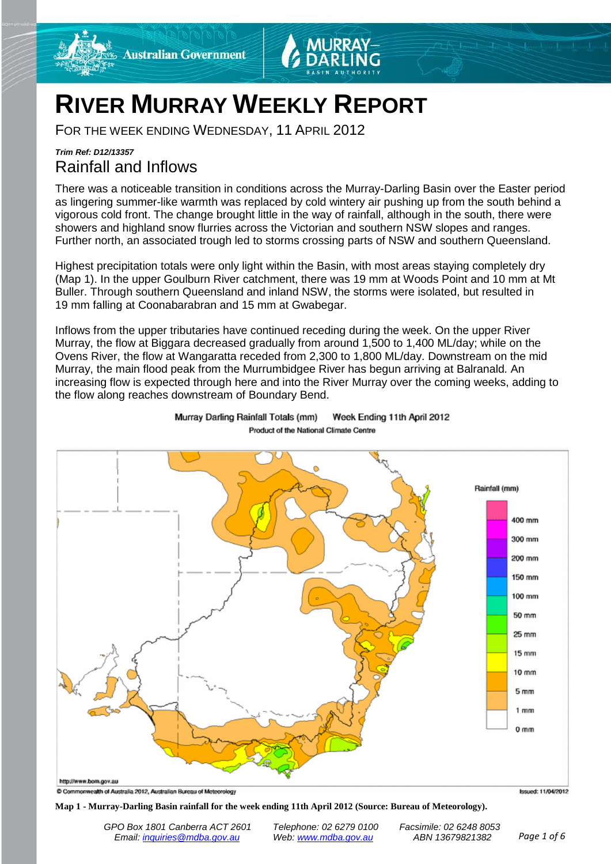

# **RIVER MURRAY WEEKLY REPORT**

FOR THE WEEK ENDING WEDNESDAY, 11 APRIL 2012

# *Trim Ref: D12/13357* Rainfall and Inflows

There was a noticeable transition in conditions across the Murray-Darling Basin over the Easter period as lingering summer-like warmth was replaced by cold wintery air pushing up from the south behind a vigorous cold front. The change brought little in the way of rainfall, although in the south, there were showers and highland snow flurries across the Victorian and southern NSW slopes and ranges. Further north, an associated trough led to storms crossing parts of NSW and southern Queensland.

Highest precipitation totals were only light within the Basin, with most areas staying completely dry (Map 1). In the upper Goulburn River catchment, there was 19 mm at Woods Point and 10 mm at Mt Buller. Through southern Queensland and inland NSW, the storms were isolated, but resulted in 19 mm falling at Coonabarabran and 15 mm at Gwabegar.

Inflows from the upper tributaries have continued receding during the week. On the upper River Murray, the flow at Biggara decreased gradually from around 1,500 to 1,400 ML/day; while on the Ovens River, the flow at Wangaratta receded from 2,300 to 1,800 ML/day. Downstream on the mid Murray, the main flood peak from the Murrumbidgee River has begun arriving at Balranald. An increasing flow is expected through here and into the River Murray over the coming weeks, adding to the flow along reaches downstream of Boundary Bend.



Murray Darling Rainfall Totals (mm) Week Ending 11th April 2012 Product of the National Climate Centre

**Map 1 - Murray-Darling Basin rainfall for the week ending 11th April 2012 (Source: Bureau of Meteorology).**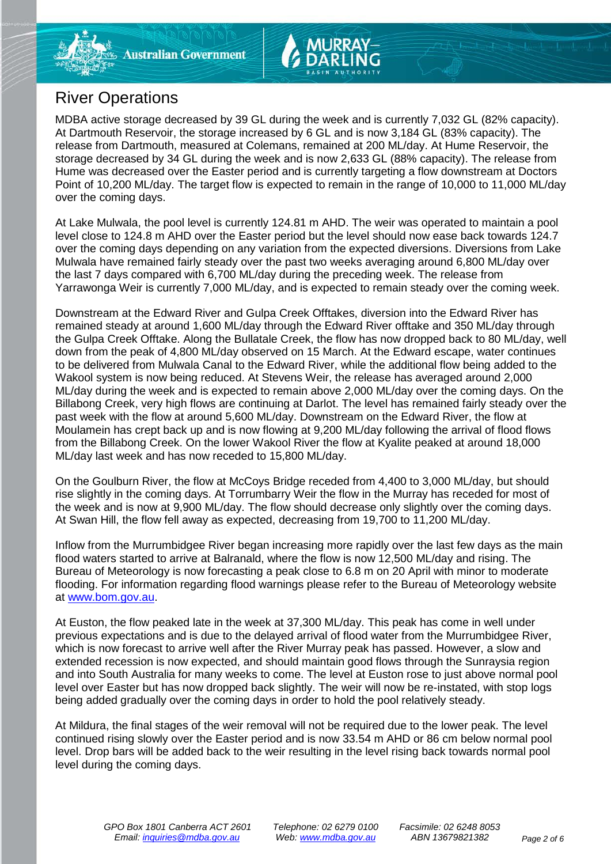# River Operations

MDBA active storage decreased by 39 GL during the week and is currently 7,032 GL (82% capacity). At Dartmouth Reservoir, the storage increased by 6 GL and is now 3,184 GL (83% capacity). The release from Dartmouth, measured at Colemans, remained at 200 ML/day. At Hume Reservoir, the storage decreased by 34 GL during the week and is now 2,633 GL (88% capacity). The release from Hume was decreased over the Easter period and is currently targeting a flow downstream at Doctors Point of 10,200 ML/day. The target flow is expected to remain in the range of 10,000 to 11,000 ML/day over the coming days.

At Lake Mulwala, the pool level is currently 124.81 m AHD. The weir was operated to maintain a pool level close to 124.8 m AHD over the Easter period but the level should now ease back towards 124.7 over the coming days depending on any variation from the expected diversions. Diversions from Lake Mulwala have remained fairly steady over the past two weeks averaging around 6,800 ML/day over the last 7 days compared with 6,700 ML/day during the preceding week. The release from Yarrawonga Weir is currently 7,000 ML/day, and is expected to remain steady over the coming week.

Downstream at the Edward River and Gulpa Creek Offtakes, diversion into the Edward River has remained steady at around 1,600 ML/day through the Edward River offtake and 350 ML/day through the Gulpa Creek Offtake. Along the Bullatale Creek, the flow has now dropped back to 80 ML/day, well down from the peak of 4,800 ML/day observed on 15 March. At the Edward escape, water continues to be delivered from Mulwala Canal to the Edward River, while the additional flow being added to the Wakool system is now being reduced. At Stevens Weir, the release has averaged around 2,000 ML/day during the week and is expected to remain above 2,000 ML/day over the coming days. On the Billabong Creek, very high flows are continuing at Darlot. The level has remained fairly steady over the past week with the flow at around 5,600 ML/day. Downstream on the Edward River, the flow at Moulamein has crept back up and is now flowing at 9,200 ML/day following the arrival of flood flows from the Billabong Creek. On the lower Wakool River the flow at Kyalite peaked at around 18,000 ML/day last week and has now receded to 15,800 ML/day.

On the Goulburn River, the flow at McCoys Bridge receded from 4,400 to 3,000 ML/day, but should rise slightly in the coming days. At Torrumbarry Weir the flow in the Murray has receded for most of the week and is now at 9,900 ML/day. The flow should decrease only slightly over the coming days. At Swan Hill, the flow fell away as expected, decreasing from 19,700 to 11,200 ML/day.

Inflow from the Murrumbidgee River began increasing more rapidly over the last few days as the main flood waters started to arrive at Balranald, where the flow is now 12,500 ML/day and rising. The Bureau of Meteorology is now forecasting a peak close to 6.8 m on 20 April with minor to moderate flooding. For information regarding flood warnings please refer to the Bureau of Meteorology website at [www.bom.gov.au.](http://www.bom.gov.au/)

At Euston, the flow peaked late in the week at 37,300 ML/day. This peak has come in well under previous expectations and is due to the delayed arrival of flood water from the Murrumbidgee River, which is now forecast to arrive well after the River Murray peak has passed. However, a slow and extended recession is now expected, and should maintain good flows through the Sunraysia region and into South Australia for many weeks to come. The level at Euston rose to just above normal pool level over Easter but has now dropped back slightly. The weir will now be re-instated, with stop logs being added gradually over the coming days in order to hold the pool relatively steady.

At Mildura, the final stages of the weir removal will not be required due to the lower peak. The level continued rising slowly over the Easter period and is now 33.54 m AHD or 86 cm below normal pool level. Drop bars will be added back to the weir resulting in the level rising back towards normal pool level during the coming days.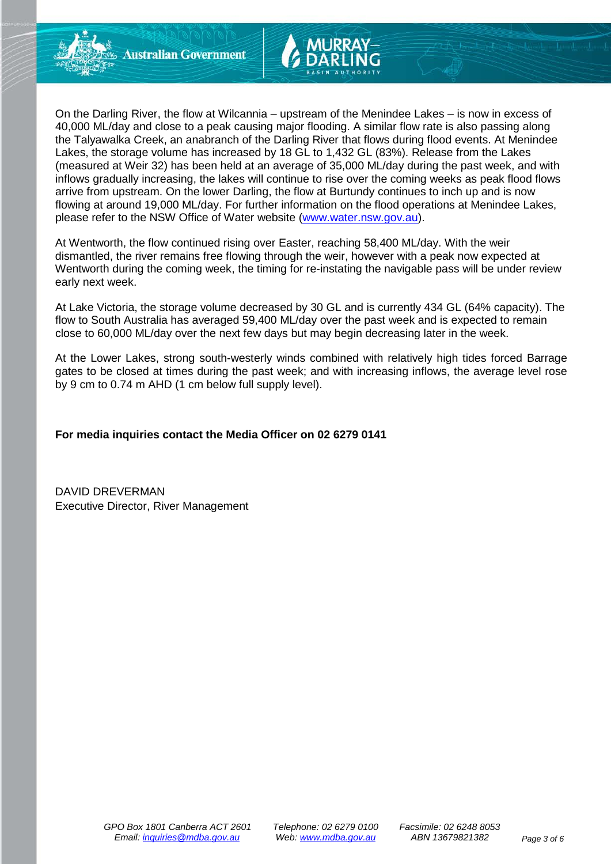On the Darling River, the flow at Wilcannia – upstream of the Menindee Lakes – is now in excess of 40,000 ML/day and close to a peak causing major flooding. A similar flow rate is also passing along the Talyawalka Creek, an anabranch of the Darling River that flows during flood events. At Menindee Lakes, the storage volume has increased by 18 GL to 1,432 GL (83%). Release from the Lakes (measured at Weir 32) has been held at an average of 35,000 ML/day during the past week, and with inflows gradually increasing, the lakes will continue to rise over the coming weeks as peak flood flows arrive from upstream. On the lower Darling, the flow at Burtundy continues to inch up and is now flowing at around 19,000 ML/day. For further information on the flood operations at Menindee Lakes, please refer to the NSW Office of Water website [\(www.water.nsw.gov.au\)](http://www.water.nsw.gov.au/).

At Wentworth, the flow continued rising over Easter, reaching 58,400 ML/day. With the weir dismantled, the river remains free flowing through the weir, however with a peak now expected at Wentworth during the coming week, the timing for re-instating the navigable pass will be under review early next week.

At Lake Victoria, the storage volume decreased by 30 GL and is currently 434 GL (64% capacity). The flow to South Australia has averaged 59,400 ML/day over the past week and is expected to remain close to 60,000 ML/day over the next few days but may begin decreasing later in the week.

At the Lower Lakes, strong south-westerly winds combined with relatively high tides forced Barrage gates to be closed at times during the past week; and with increasing inflows, the average level rose by 9 cm to 0.74 m AHD (1 cm below full supply level).

# **For media inquiries contact the Media Officer on 02 6279 0141**

DAVID DREVERMAN Executive Director, River Management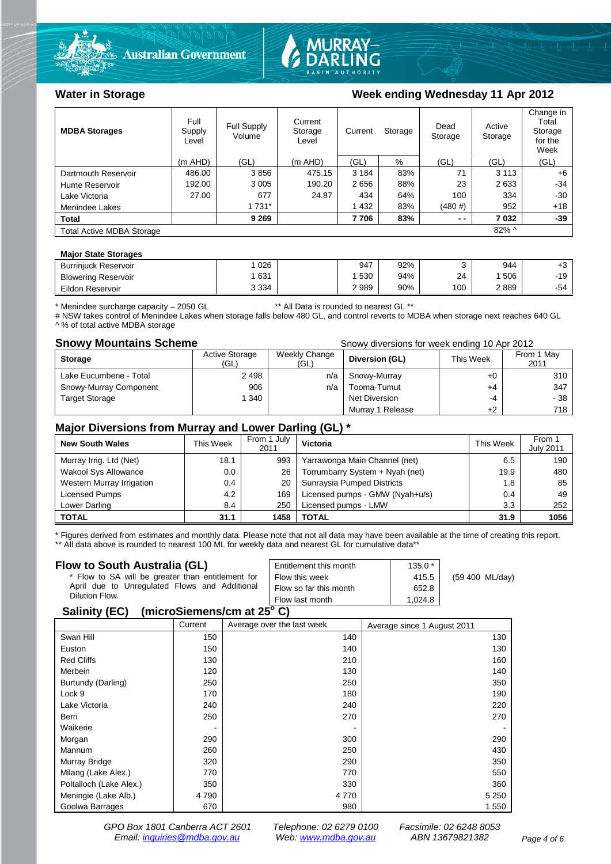



# Water in Storage Week ending Wednesday 11 Apr 2012

| <b>MDBA Storages</b>             | Full<br>Supply<br>Level | Full Supply<br>Volume | Current<br>Storage<br>Level |         | Current<br>Storage |        | Active<br>Storage | Change in<br>Total<br>Storage<br>for the<br>Week |
|----------------------------------|-------------------------|-----------------------|-----------------------------|---------|--------------------|--------|-------------------|--------------------------------------------------|
|                                  | $(m$ AHD)               | (GL)                  | $(m$ AHD)                   | (GL)    | %                  | (GL)   | (GL)              | (GL)                                             |
| Dartmouth Reservoir              | 486.00                  | 3856                  | 475.15                      | 3 1 8 4 | 83%                | 71     | 3 1 1 3           | $+6$                                             |
| Hume Reservoir                   | 192.00                  | 3 0 0 5               | 190.20                      | 2656    | 88%                | 23     | 2633              | $-34$                                            |
| Lake Victoria                    | 27.00                   | 677                   | 24.87                       | 434     | 64%                | 100    | 334               | $-30$                                            |
| Menindee Lakes                   |                         | 1 7 3 1 *             |                             | 1 4 3 2 | 83%                | (480#) | 952               | $+18$                                            |
| <b>Total</b>                     |                         | 9 2 6 9               |                             | 7706    | 83%                | $ -$   | 7032              | -39                                              |
| <b>Total Active MDBA Storage</b> |                         |                       |                             |         |                    |        | $82\%$ ^          |                                                  |

#### **Major State Storages**

| <b>Burriniuck Reservoir</b> | 026     | 947  | 92% |     | 944 | ΓU    |
|-----------------------------|---------|------|-----|-----|-----|-------|
| <b>Blowering Reservoir</b>  | 631     | 530  | 94% | 24  | 506 | $-19$ |
| Eildon Reservoir            | 3 3 3 4 | 2989 | 90% | 100 | 889 | -54   |

\* Menindee surcharge capacity – 2050 GL \*\* All Data is rounded to nearest GL \*\*

# NSW takes control of Menindee Lakes when storage falls below 480 GL, and control reverts to MDBA when storage next reaches 640 GL ^ % of total active MDBA storage

**Snowy Mountains Scheme Snowy diversions for week ending 10 Apr 2012** 

| <b>Storage</b>         | <b>Active Storage</b><br>(GL) | Weekly Change<br>(GL) | Diversion (GL)   | This Week | From 1 May<br>2011 |
|------------------------|-------------------------------|-----------------------|------------------|-----------|--------------------|
| Lake Eucumbene - Total | 2498                          | n/a                   | Snowy-Murray     | +0        | 310                |
| Snowy-Murray Component | 906                           | n/a                   | Tooma-Tumut      | +4        | 347                |
| <b>Target Storage</b>  | 1 340                         |                       | Net Diversion    | -4        | - 38               |
|                        |                               |                       | Murray 1 Release | $+2$      | 718                |

### **Major Diversions from Murray and Lower Darling (GL) \***

| <b>New South Wales</b>    | This Week | From 1 July<br>2011 | Victoria                        | This Week | From 1<br><b>July 2011</b> |
|---------------------------|-----------|---------------------|---------------------------------|-----------|----------------------------|
| Murray Irrig. Ltd (Net)   | 18.1      | 993                 | Yarrawonga Main Channel (net)   | 6.5       | 190                        |
| Wakool Sys Allowance      | 0.0       | 26                  | Torrumbarry System + Nyah (net) | 19.9      | 480                        |
| Western Murray Irrigation | 0.4       | 20                  | Sunraysia Pumped Districts      | 1.8       | 85                         |
| Licensed Pumps            | 4.2       | 169                 | Licensed pumps - GMW (Nyah+u/s) | 0.4       | 49                         |
| Lower Darling             | 8.4       | 250                 | Licensed pumps - LMW            | 3.3       | 252                        |
| <b>TOTAL</b>              | 31.1      | 1458                | TOTAL                           | 31.9      | 1056                       |

\* Figures derived from estimates and monthly data. Please note that not all data may have been available at the time of creating this report. \*\* All data above is rounded to nearest 100 ML for weekly data and nearest GL for cumulative data\*\*

#### **Flow to South Australia (GL)**

| Flow to South Australia (GL)<br>* Flow to SA will be greater than entitlement for<br>April due to Unregulated Flows and Additional | Entitlement this month<br>Flow this week  | $135.0*$<br>415.5 | (59 400 ML/day) |
|------------------------------------------------------------------------------------------------------------------------------------|-------------------------------------------|-------------------|-----------------|
| Dilution Flow.<br>$\frac{1}{2}$<br>0.11111001                                                                                      | Flow so far this month<br>Flow last month | 652.8<br>1.024.8  |                 |

#### **Salinity (EC) (microSiemens/cm at 25o C)**

|                         | Current | Average over the last week | Average since 1 August 2011 |
|-------------------------|---------|----------------------------|-----------------------------|
| Swan Hill               | 150     | 140                        | 130                         |
| Euston                  | 150     | 140                        | 130                         |
| <b>Red Cliffs</b>       | 130     | 210                        | 160                         |
| Merbein                 | 120     | 130                        | 140                         |
| Burtundy (Darling)      | 250     | 250                        | 350                         |
| Lock 9                  | 170     | 180                        | 190                         |
| Lake Victoria           | 240     | 240                        | 220                         |
| Berri                   | 250     | 270                        | 270                         |
| Waikerie                | -       |                            |                             |
| Morgan                  | 290     | 300                        | 290                         |
| Mannum                  | 260     | 250                        | 430                         |
| Murray Bridge           | 320     | 290                        | 350                         |
| Milang (Lake Alex.)     | 770     | 770                        | 550                         |
| Poltalloch (Lake Alex.) | 350     | 330                        | 360                         |
| Meningie (Lake Alb.)    | 4790    | 4 7 7 0                    | 5 2 5 0                     |
| Goolwa Barrages         | 670     | 980                        | 1 550                       |

*GPO Box 1801 Canberra ACT 2601 Telephone: 02 6279 0100 Facsimile: 02 6248 8053 Email: [inquiries@mdba.gov.au](mailto:inquiries@mdba.gov.au) Web: [www.mdba.gov.au](http://www.mdba.gov.au/) ABN 13679821382 Page 4 of 6*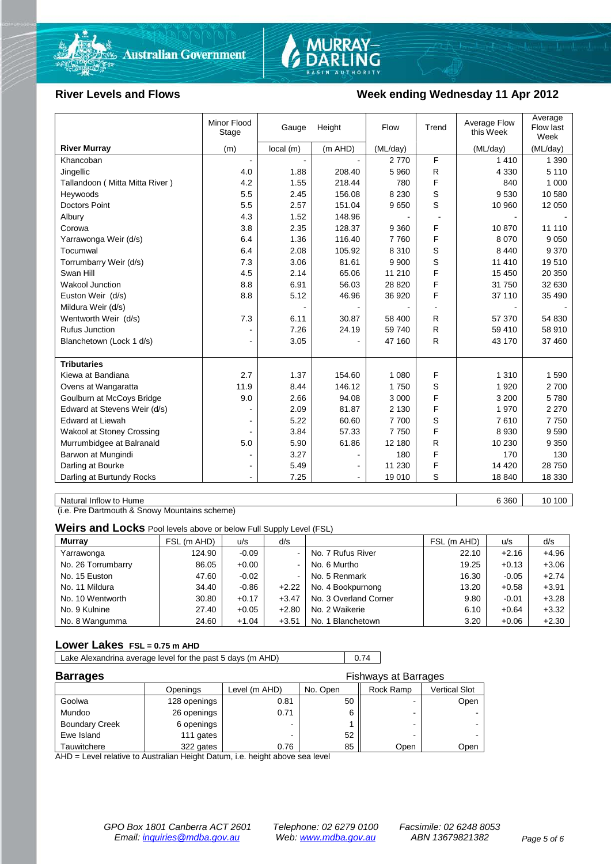



### River Levels and Flows **Week ending Wednesday 11 Apr 2012**

|                                  | Minor Flood<br>Stage | Gauge    | Height  | Flow     | Trend | Average Flow<br>this Week | Average<br>Flow last<br>Week |
|----------------------------------|----------------------|----------|---------|----------|-------|---------------------------|------------------------------|
| <b>River Murray</b>              | (m)                  | local(m) | (m AHD) | (ML/day) |       | (ML/day)                  | (ML/day)                     |
| Khancoban                        |                      |          |         | 2770     | F     | 1410                      | 1 3 9 0                      |
| Jingellic                        | 4.0                  | 1.88     | 208.40  | 5 9 6 0  | R     | 4 3 3 0                   | 5 1 1 0                      |
| Tallandoon (Mitta Mitta River)   | 4.2                  | 1.55     | 218.44  | 780      | F     | 840                       | 1 0 0 0                      |
| Heywoods                         | 5.5                  | 2.45     | 156.08  | 8 2 3 0  | S     | 9530                      | 10 580                       |
| <b>Doctors Point</b>             | 5.5                  | 2.57     | 151.04  | 9650     | S     | 10 960                    | 12 050                       |
| Albury                           | 4.3                  | 1.52     | 148.96  |          |       |                           |                              |
| Corowa                           | 3.8                  | 2.35     | 128.37  | 9 3 6 0  | F     | 10870                     | 11 110                       |
| Yarrawonga Weir (d/s)            | 6.4                  | 1.36     | 116.40  | 7760     | F     | 8 0 7 0                   | 9 0 5 0                      |
| Tocumwal                         | 6.4                  | 2.08     | 105.92  | 8 3 1 0  | S     | 8 4 4 0                   | 9 3 7 0                      |
| Torrumbarry Weir (d/s)           | 7.3                  | 3.06     | 81.61   | 9 9 0 0  | S     | 11 410                    | 19510                        |
| Swan Hill                        | 4.5                  | 2.14     | 65.06   | 11 210   | F     | 15 450                    | 20 350                       |
| Wakool Junction                  | 8.8                  | 6.91     | 56.03   | 28 8 20  | F     | 31 750                    | 32 630                       |
| Euston Weir (d/s)                | 8.8                  | 5.12     | 46.96   | 36 920   | F     | 37 110                    | 35 490                       |
| Mildura Weir (d/s)               |                      |          |         |          |       |                           |                              |
| Wentworth Weir (d/s)             | 7.3                  | 6.11     | 30.87   | 58 400   | R     | 57 370                    | 54 830                       |
| <b>Rufus Junction</b>            |                      | 7.26     | 24.19   | 59 740   | R     | 59 410                    | 58 910                       |
| Blanchetown (Lock 1 d/s)         | $\blacksquare$       | 3.05     |         | 47 160   | R     | 43 170                    | 37 460                       |
|                                  |                      |          |         |          |       |                           |                              |
| <b>Tributaries</b>               |                      |          |         |          |       |                           |                              |
| Kiewa at Bandiana                | 2.7                  | 1.37     | 154.60  | 1 0 8 0  | F     | 1 3 1 0                   | 1 5 9 0                      |
| Ovens at Wangaratta              | 11.9                 | 8.44     | 146.12  | 1750     | S     | 1920                      | 2 700                        |
| Goulburn at McCoys Bridge        | 9.0                  | 2.66     | 94.08   | 3 0 0 0  | F     | 3 200                     | 5780                         |
| Edward at Stevens Weir (d/s)     |                      | 2.09     | 81.87   | 2 1 3 0  | F     | 1970                      | 2 2 7 0                      |
| <b>Edward at Liewah</b>          |                      | 5.22     | 60.60   | 7700     | S     | 7610                      | 7750                         |
| <b>Wakool at Stoney Crossing</b> |                      | 3.84     | 57.33   | 7750     | F     | 8930                      | 9 5 9 0                      |
| Murrumbidgee at Balranald        | 5.0                  | 5.90     | 61.86   | 12 180   | R     | 10 230                    | 9 3 5 0                      |
| Barwon at Mungindi               |                      | 3.27     |         | 180      | F     | 170                       | 130                          |
| Darling at Bourke                | $\blacksquare$       | 5.49     |         | 11 230   | F     | 14 4 20                   | 28 750                       |
| Darling at Burtundy Rocks        |                      | 7.25     |         | 19 010   | S     | 18 840                    | 18 330                       |

Natural Inflow to Hume 6 360 10 100

(i.e. Pre Dartmouth & Snowy Mountains scheme)

**Weirs and Locks** Pool levels above or below Full Supply Level (FSL)

| <b>Murray</b>      | FSL (m AHD) | u/s     | d/s                      |                       | FSL (m AHD) | u/s     | d/s     |
|--------------------|-------------|---------|--------------------------|-----------------------|-------------|---------|---------|
| Yarrawonga         | 124.90      | $-0.09$ | $\overline{\phantom{0}}$ | No. 7 Rufus River     | 22.10       | $+2.16$ | $+4.96$ |
| No. 26 Torrumbarry | 86.05       | $+0.00$ | $\blacksquare$           | No. 6 Murtho          | 19.25       | $+0.13$ | $+3.06$ |
| No. 15 Euston      | 47.60       | $-0.02$ | $\blacksquare$           | No. 5 Renmark         | 16.30       | $-0.05$ | $+2.74$ |
| No. 11 Mildura     | 34.40       | $-0.86$ | $+2.22$                  | No. 4 Bookpurnong     | 13.20       | $+0.58$ | $+3.91$ |
| No. 10 Wentworth   | 30.80       | $+0.17$ | $+3.47$                  | No. 3 Overland Corner | 9.80        | $-0.01$ | $+3.28$ |
| No. 9 Kulnine      | 27.40       | $+0.05$ | $+2.80$                  | No. 2 Waikerie        | 6.10        | $+0.64$ | $+3.32$ |
| No. 8 Wangumma     | 24.60       | $+1.04$ | $+3.51$                  | No. 1 Blanchetown     | 3.20        | $+0.06$ | $+2.30$ |

### **Lower Lakes FSL = 0.75 m AHD**

Lake Alexandrina average level for the past 5 days (m AHD) 0.74

| <b>Barrages</b>       |              | Fishways at Barrages |          |           |               |
|-----------------------|--------------|----------------------|----------|-----------|---------------|
|                       | Openings     | Level (m AHD)        | No. Open | Rock Ramp | Vertical Slot |
| Goolwa                | 128 openings | 0.81                 | 50       | -         | Open          |
| Mundoo                | 26 openings  | 0.71                 | 6        | -         |               |
| <b>Boundary Creek</b> | 6 openings   | -                    |          | -         |               |
| Ewe Island            | 111 gates    |                      | 52       |           |               |
| Tauwitchere           | 322 gates    | 0.76                 | 85       | Open      | Open          |

AHD = Level relative to Australian Height Datum, i.e. height above sea level